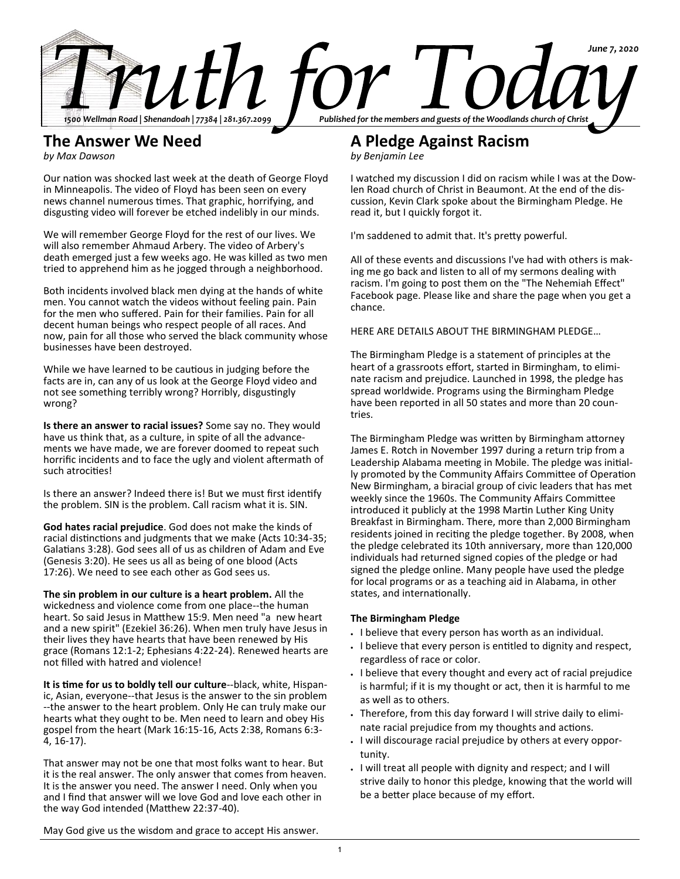

# **The Answer We Need**

*by Max Dawson*

Our nation was shocked last week at the death of George Floyd in Minneapolis. The video of Floyd has been seen on every news channel numerous times. That graphic, horrifying, and disgusting video will forever be etched indelibly in our minds.

We will remember George Floyd for the rest of our lives. We will also remember Ahmaud Arbery. The video of Arbery's death emerged just a few weeks ago. He was killed as two men tried to apprehend him as he jogged through a neighborhood.

Both incidents involved black men dying at the hands of white men. You cannot watch the videos without feeling pain. Pain for the men who suffered. Pain for their families. Pain for all decent human beings who respect people of all races. And now, pain for all those who served the black community whose businesses have been destroyed.

While we have learned to be cautious in judging before the facts are in, can any of us look at the George Floyd video and not see something terribly wrong? Horribly, disgustingly wrong?

**Is there an answer to racial issues?** Some say no. They would have us think that, as a culture, in spite of all the advancements we have made, we are forever doomed to repeat such horrific incidents and to face the ugly and violent aftermath of such atrocities!

Is there an answer? Indeed there is! But we must first identify the problem. SIN is the problem. Call racism what it is. SIN.

**God hates racial prejudice**. God does not make the kinds of racial distinctions and judgments that we make (Acts 10:34-35; Galatians 3:28). God sees all of us as children of Adam and Eve (Genesis 3:20). He sees us all as being of one blood (Acts 17:26). We need to see each other as God sees us.

**The sin problem in our culture is a heart problem.** All the wickedness and violence come from one place--the human heart. So said Jesus in Matthew 15:9. Men need "a new heart and a new spirit" (Ezekiel 36:26). When men truly have Jesus in their lives they have hearts that have been renewed by His grace (Romans 12:1-2; Ephesians 4:22-24). Renewed hearts are not filled with hatred and violence!

**It is time for us to boldly tell our culture**--black, white, Hispanic, Asian, everyone--that Jesus is the answer to the sin problem --the answer to the heart problem. Only He can truly make our hearts what they ought to be. Men need to learn and obey His gospel from the heart (Mark 16:15-16, Acts 2:38, Romans 6:3- 4, 16-17).

That answer may not be one that most folks want to hear. But it is the real answer. The only answer that comes from heaven. It is the answer you need. The answer I need. Only when you and I find that answer will we love God and love each other in the way God intended (Matthew 22:37-40).

**A Pledge Against Racism**

*by Benjamin Lee*

I watched my discussion I did on racism while I was at the Dowlen Road church of Christ in Beaumont. At the end of the discussion, Kevin Clark spoke about the Birmingham Pledge. He read it, but I quickly forgot it.

I'm saddened to admit that. It's pretty powerful.

All of these events and discussions I've had with others is making me go back and listen to all of my sermons dealing with racism. I'm going to post them on the "The Nehemiah Effect" Facebook page. Please like and share the page when you get a chance.

HERE ARE DETAILS ABOUT THE BIRMINGHAM PLEDGE…

The Birmingham Pledge is a statement of principles at the heart of a grassroots effort, started in Birmingham, to eliminate racism and prejudice. Launched in 1998, the pledge has spread worldwide. Programs using the Birmingham Pledge have been reported in all 50 states and more than 20 countries.

The Birmingham Pledge was written by Birmingham attorney James E. Rotch in November 1997 during a return trip from a Leadership Alabama meeting in Mobile. The pledge was initially promoted by the Community Affairs Committee of Operation New Birmingham, a biracial group of civic leaders that has met weekly since the 1960s. The Community Affairs Committee introduced it publicly at the 1998 Martin Luther King Unity Breakfast in Birmingham. There, more than 2,000 Birmingham residents joined in reciting the pledge together. By 2008, when the pledge celebrated its 10th anniversary, more than 120,000 individuals had returned signed copies of the pledge or had signed the pledge online. Many people have used the pledge for local programs or as a teaching aid in Alabama, in other states, and internationally.

# **The Birmingham Pledge**

- I believe that every person has worth as an individual.
- I believe that every person is entitled to dignity and respect, regardless of race or color.
- I believe that every thought and every act of racial prejudice is harmful; if it is my thought or act, then it is harmful to me as well as to others.
- Therefore, from this day forward I will strive daily to eliminate racial prejudice from my thoughts and actions.
- I will discourage racial prejudice by others at every opportunity.
- I will treat all people with dignity and respect; and I will strive daily to honor this pledge, knowing that the world will be a better place because of my effort.

May God give us the wisdom and grace to accept His answer.